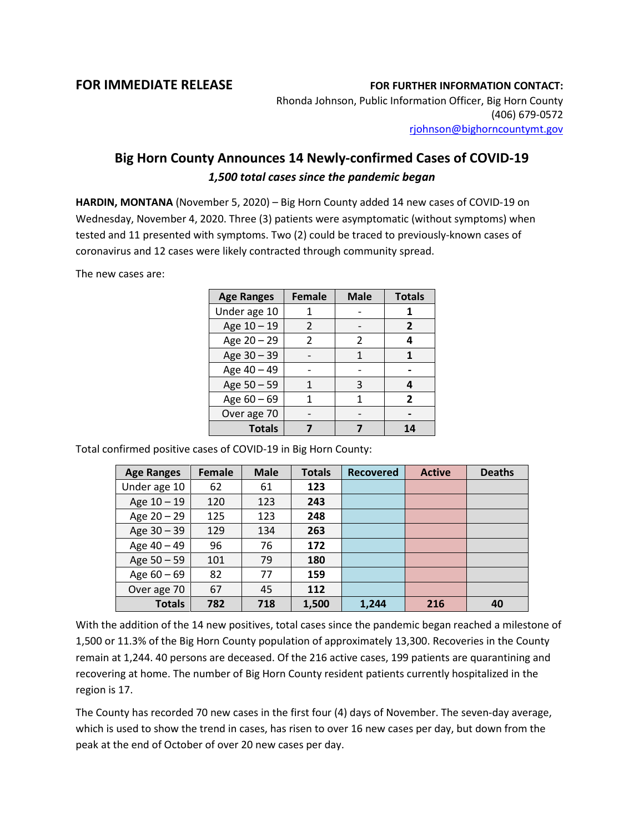## **FOR IMMEDIATE RELEASE FOR FURTHER INFORMATION CONTACT:**

Rhonda Johnson, Public Information Officer, Big Horn County (406) 679-0572 [rjohnson@bighorncountymt.gov](mailto:rjohnson@bighorncountymt.gov)

## **Big Horn County Announces 14 Newly-confirmed Cases of COVID-19** *1,500 total cases since the pandemic began*

**HARDIN, MONTANA** (November 5, 2020) – Big Horn County added 14 new cases of COVID-19 on Wednesday, November 4, 2020. Three (3) patients were asymptomatic (without symptoms) when tested and 11 presented with symptoms. Two (2) could be traced to previously-known cases of coronavirus and 12 cases were likely contracted through community spread.

The new cases are:

| <b>Age Ranges</b> | <b>Female</b> | <b>Male</b> | <b>Totals</b> |
|-------------------|---------------|-------------|---------------|
| Under age 10      |               |             |               |
| Age 10 - 19       | 2             |             | 2             |
| Age 20 - 29       | $\mathcal{P}$ | 2           | 4             |
| Age 30 - 39       |               |             |               |
| Age 40 - 49       |               |             |               |
| Age 50 - 59       |               | 3           | 4             |
| Age 60 - 69       |               |             | $\mathbf{z}$  |
| Over age 70       |               |             |               |
| <b>Totals</b>     |               |             |               |

Total confirmed positive cases of COVID-19 in Big Horn County:

| <b>Age Ranges</b> | Female | <b>Male</b> | <b>Totals</b> | <b>Recovered</b> | <b>Active</b> | <b>Deaths</b> |
|-------------------|--------|-------------|---------------|------------------|---------------|---------------|
| Under age 10      | 62     | 61          | 123           |                  |               |               |
| Age $10 - 19$     | 120    | 123         | 243           |                  |               |               |
| Age 20 - 29       | 125    | 123         | 248           |                  |               |               |
| Age 30 - 39       | 129    | 134         | 263           |                  |               |               |
| Age 40 - 49       | 96     | 76          | 172           |                  |               |               |
| Age 50 - 59       | 101    | 79          | 180           |                  |               |               |
| Age $60 - 69$     | 82     | 77          | 159           |                  |               |               |
| Over age 70       | 67     | 45          | 112           |                  |               |               |
| <b>Totals</b>     | 782    | 718         | 1,500         | 1,244            | 216           | 40            |

With the addition of the 14 new positives, total cases since the pandemic began reached a milestone of 1,500 or 11.3% of the Big Horn County population of approximately 13,300. Recoveries in the County remain at 1,244. 40 persons are deceased. Of the 216 active cases, 199 patients are quarantining and recovering at home. The number of Big Horn County resident patients currently hospitalized in the region is 17.

The County has recorded 70 new cases in the first four (4) days of November. The seven-day average, which is used to show the trend in cases, has risen to over 16 new cases per day, but down from the peak at the end of October of over 20 new cases per day.